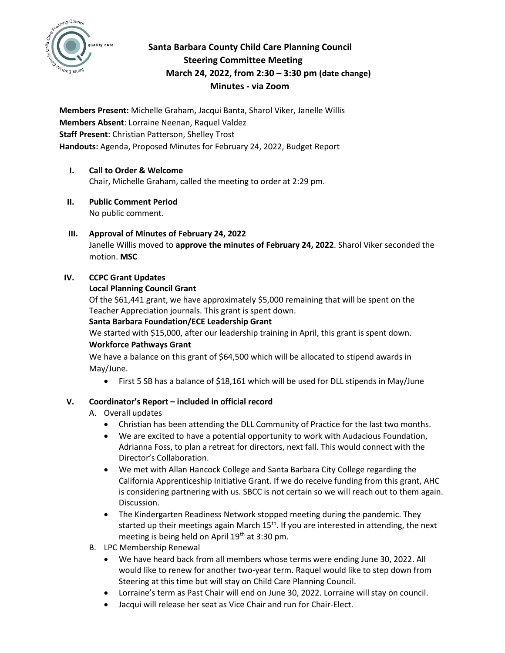

# **Santa Barbara County Child Care Planning Council Steering Committee Meeting March 24, 2022, from 2:30 – 3:30 pm (date change) Minutes - via Zoom**

**Members Present:** Michelle Graham, Jacqui Banta, Sharol Viker, Janelle Willis **Members Absent**: Lorraine Neenan, Raquel Valdez **Staff Present**: Christian Patterson, Shelley Trost **Handouts:** Agenda, Proposed Minutes for February 24, 2022, Budget Report

### **I. Call to Order & Welcome**  Chair, Michelle Graham, called the meeting to order at 2:29 pm.

**II. Public Comment Period**  No public comment.

### **III. Approval of Minutes of February 24, 2022** Janelle Willis moved to **approve the minutes of February 24, 2022**. Sharol Viker seconded the motion. **MSC**

# **IV. CCPC Grant Updates**

# **Local Planning Council Grant**

Of the \$61,441 grant, we have approximately \$5,000 remaining that will be spent on the Teacher Appreciation journals. This grant is spent down.

# **Santa Barbara Foundation/ECE Leadership Grant**

We started with \$15,000, after our leadership training in April, this grant is spent down.

### **Workforce Pathways Grant**

We have a balance on this grant of \$64,500 which will be allocated to stipend awards in May/June.

• First 5 SB has a balance of \$18,161 which will be used for DLL stipends in May/June

# **V. Coordinator's Report – included in official record**

- A. Overall updates
	- Christian has been attending the DLL Community of Practice for the last two months.
	- We are excited to have a potential opportunity to work with Audacious Foundation, Adrianna Foss, to plan a retreat for directors, next fall. This would connect with the Director's Collaboration.
	- We met with Allan Hancock College and Santa Barbara City College regarding the California Apprenticeship Initiative Grant. If we do receive funding from this grant, AHC is considering partnering with us. SBCC is not certain so we will reach out to them again. Discussion.
	- The Kindergarten Readiness Network stopped meeting during the pandemic. They started up their meetings again March 15<sup>th</sup>. If you are interested in attending, the next meeting is being held on April  $19<sup>th</sup>$  at 3:30 pm.
- B. LPC Membership Renewal
	- We have heard back from all members whose terms were ending June 30, 2022. All would like to renew for another two-year term. Raquel would like to step down from Steering at this time but will stay on Child Care Planning Council.
	- Lorraine's term as Past Chair will end on June 30, 2022. Lorraine will stay on council.
	- Jacqui will release her seat as Vice Chair and run for Chair-Elect.